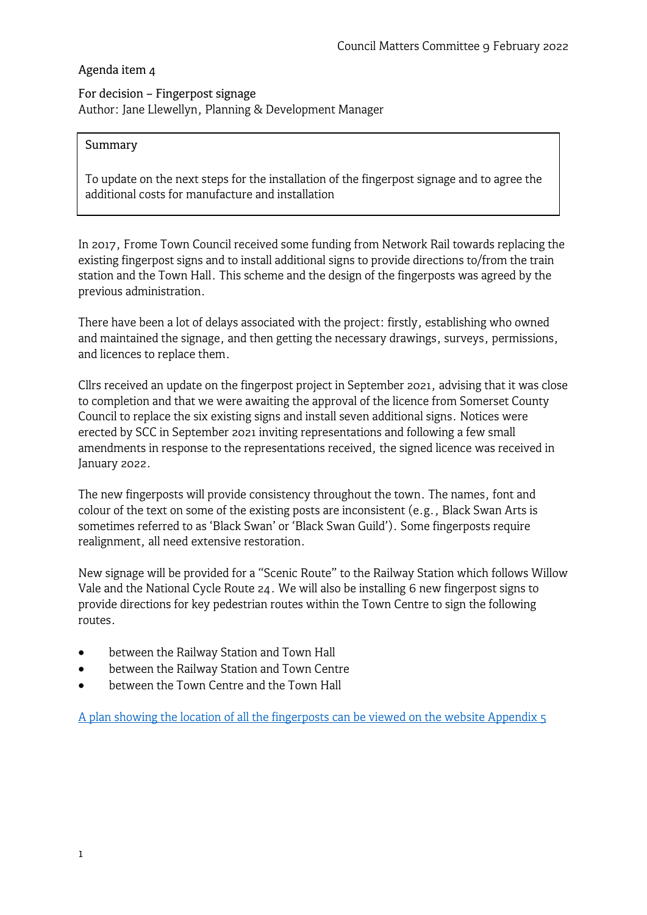### Agenda item 4

## For decision – Fingerpost signage Author: Jane Llewellyn, Planning & Development Manager

### Summary

To update on the next steps for the installation of the fingerpost signage and to agree the additional costs for manufacture and installation

In 2017, Frome Town Council received some funding from Network Rail towards replacing the existing fingerpost signs and to install additional signs to provide directions to/from the train station and the Town Hall. This scheme and the design of the fingerposts was agreed by the previous administration.

There have been a lot of delays associated with the project: firstly, establishing who owned and maintained the signage, and then getting the necessary drawings, surveys, permissions, and licences to replace them.

Cllrs received an update on the fingerpost project in September 2021, advising that it was close to completion and that we were awaiting the approval of the licence from Somerset County Council to replace the six existing signs and install seven additional signs. Notices were erected by SCC in September 2021 inviting representations and following a few small amendments in response to the representations received, the signed licence was received in January 2022.

The new fingerposts will provide consistency throughout the town. The names, font and colour of the text on some of the existing posts are inconsistent (e.g., Black Swan Arts is sometimes referred to as 'Black Swan' or 'Black Swan Guild'). Some fingerposts require realignment, all need extensive restoration.

New signage will be provided for a "Scenic Route" to the Railway Station which follows Willow Vale and the National Cycle Route 24. We will also be installing 6 new fingerpost signs to provide directions for key pedestrian routes within the Town Centre to sign the following routes.

- between the Railway Station and Town Hall
- between the Railway Station and Town Centre
- between the Town Centre and the Town Hall

[A plan showing the location of all the fingerposts can be viewed on the website Appendix 5](https://www.frometowncouncil.gov.uk/wp-content/uploads/2022/02/Apendix-5-Fingerpost-site-location-plan.pdf)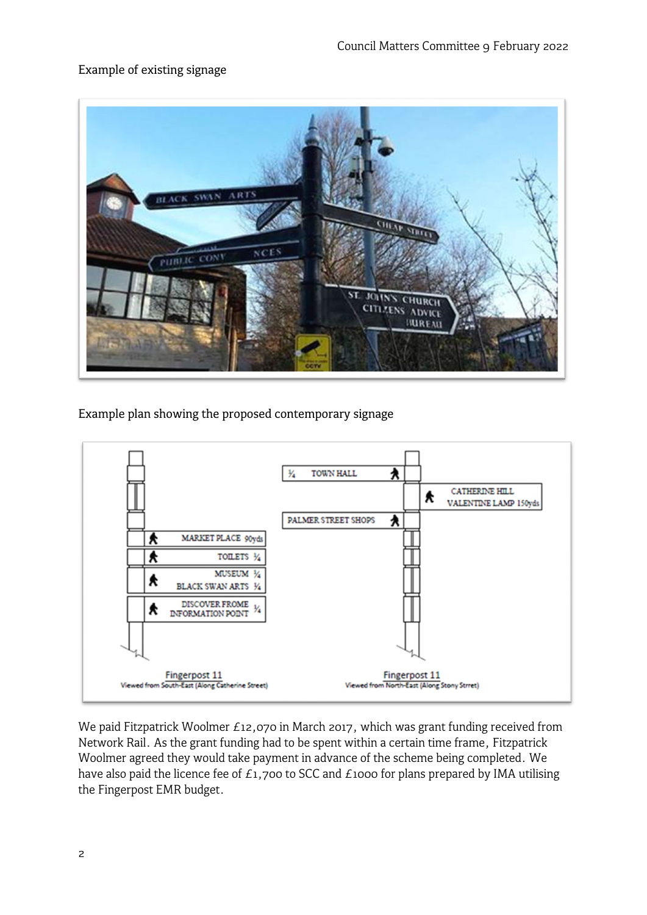# Example of existing signage



Example plan showing the proposed contemporary signage



We paid Fitzpatrick Woolmer £12,070 in March 2017, which was grant funding received from Network Rail. As the grant funding had to be spent within a certain time frame, Fitzpatrick Woolmer agreed they would take payment in advance of the scheme being completed. We have also paid the licence fee of  $E_1$ ,700 to SCC and  $E_1$ 1000 for plans prepared by IMA utilising the Fingerpost EMR budget.